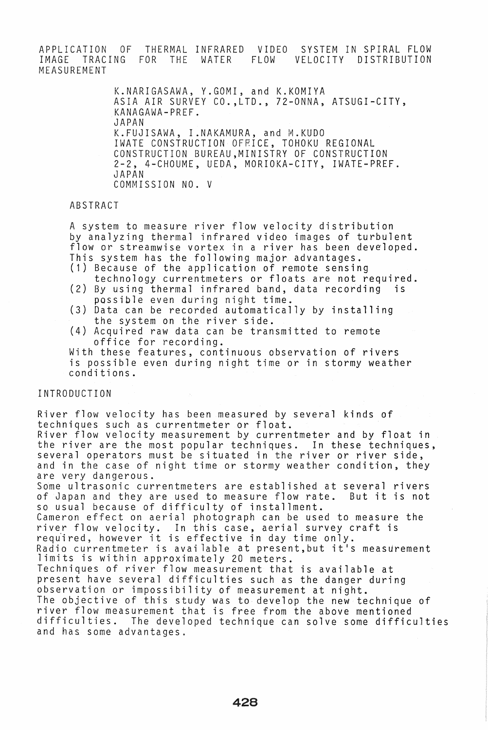APPLICATION OF THERMAL INFRARED VIDEO SYSTEM IN SPIRAL FLOW IMAGE TRACING FOR THE WATER FLOW VELOCITY DISTRIBUTION MEASUREMENT

> K.NARIGASAWA, Y.GOMI, and K.KOMIYA ASIA AIR SURVEY CO.,LTD., 72-0NNA, ATSUGI-CITY, KANAGAWA-PREF. JAPAN K.FUJISAWA, I.NAKAMURA, and M.KUDO IWATE CONSTRUCTION OFRICE, TOHOKU REGIONAL CONSTRUCTION BUREAU,MINISTRY OF CONSTRUCTION 2-2, 4-CHOUME, UEDA, MORIOKA-CITY, IWATE-PREF. JAPAN COMMISSION NO. V

#### ABSTRACT

A system to measure river flow velocity distribution by analyzing thermal infrared video images of turbulent flow or streamwise vortex in a river has been developed. This system has the following major advantages.

- (1) Because of the application of remote sensing technology currentmeters or floats are not required.
- $(2)$  By using thermal infrared band, data recording possible even during night time.
- (3) Data can be recorded automatically by installing the system on the river side.
- (4) Acquired raw data can be transmitted to remote

With these features, continuous observation of rivers is possible even during night time or in stormy weather conditions.

## INTRODUCTION

River flow velocity has been measured by several kinds of techniques such as currentmeter or float. River flow velocity measurement by currentmeter and by float in the river are the most popular techniques. In these techniques, several operators must be situated in the river or river side, and in the case of night time or stormy weather condition, they are very dangerous. Some ultrasonic currentmeters are established at several rivers<br>of Japan and they are used to measure flow rate. But it is not of Japan and they are used to measure flow rate. so usual because of difficulty of installment. Cameron effect on aerial photograph can be used to measure the river flow velocity. In this case, aerial survey craft is requ'ired, however it is effective in day time only. Radio currentmeter is available at present, but it's measurement limits is within approximately 20 meters. Techniques of river flow measurement that is available at present have several difficulties such as the danger during observation or impossibility of measurement at night. The objective of this study was to develop the new technique of river flow measurement that is free from the above mentioned difficulties. The developed technique can solve some difficulties and has some advantages.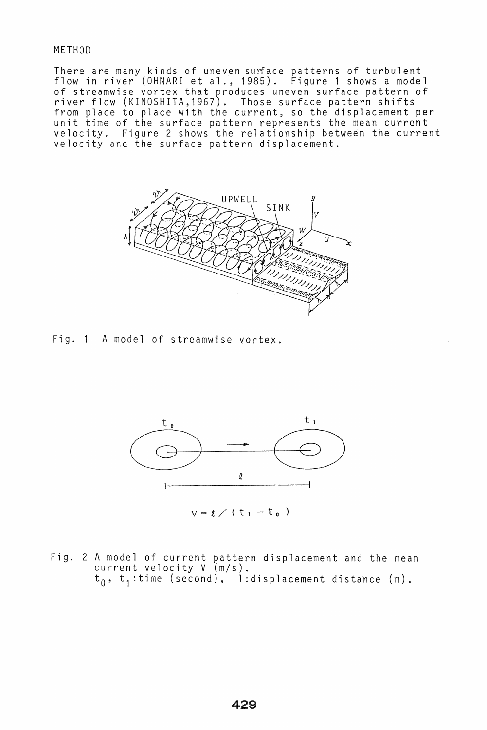#### METHOD

There are many kinds of uneven surface patterns of turbulent flow in river (OHNARI et al., 1985). Figure 1 shows a model of streamwise vortex that produces uneven surface pattern of river flow (KINOSHITA,1967). Those surface pattern shifts from place to place with the current, so the displacement per unit time of the surface pattern represents the mean current velocity. Figure 2 shows the relationship between the current velocity and the surface pattern displacement.



Fig. 1 A model of streamwise vortex.



 $v = l / (t_1 - t_0)$ 

Fig. 2 A model of current pattern displacement and the mean current velocity V (m/s).  $t_0$ ,  $t_1$ :time (second), l:displacement distance (m).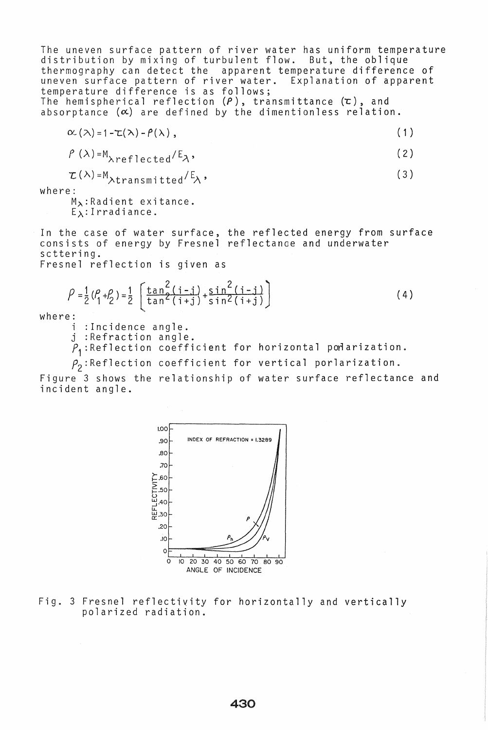The uneven surface pattern of river water has uniform temperature distribution by mixing of turbulent flow. But, the oblique thermography can detect the apparent temperature difference of uneven surface pattern of river water. Explanation of apparent temperature difference is as follows; The hemispherical reflection  $(P)$ , transmittance  $(\tau)$ , and absorptance  $(\alpha)$  are defined by the dimentionless relation.

$$
\alpha_{\lambda}(\lambda) = 1 - \tau(\lambda) - \rho(\lambda), \qquad (1)
$$

$$
P(\lambda) = M_{\lambda \text{reflected}} / E_{\lambda}, \qquad (2)
$$

$$
\mathcal{L}(\lambda) = M_{\lambda \text{transmitted}} / E_{\lambda}, \qquad (3)
$$

where:

 $M_{\lambda}$ :Radient exitance.  $E_{\lambda}$ : Irradiance.

In the case of water surface, the reflected energy from surface consists of energy by Fresnel reflectanoe and underwater scttering.

Fresnel reflection is given as

$$
\rho = \frac{1}{2} (\rho_1 + \rho_2) = \frac{1}{2} \left[ \frac{\tan^2(i-j)}{\tan^2(i+j)} + \frac{\sin^2(i-j)}{\sin^2(i+j)} \right]
$$
(4)

where:<br>i :Incidence angle.

j :Refraction angle.

 $P_1$ :Reflection coefficient for horizontal podarization.

 $P_2$ :Reflection coefficient for vertical porlarization.

Figure 3 shows the relationship of water surface reflectance and incident angle.



Fig. 3 Fresnel reflectivity for horizontally and vertically polarized radiation.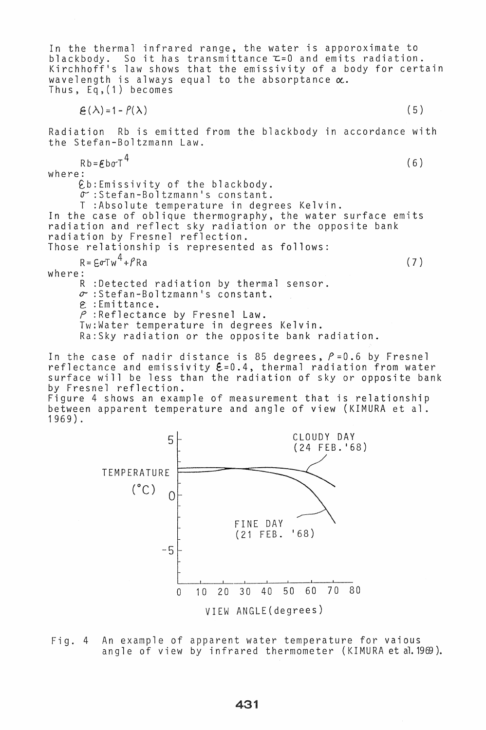In the thermal infrared range, the water is apporoximate to blackbody. So it has transmittance  $\tau = 0$  and emits radiation. Kirchhoff's law shows that the emissivity of a body for certain wavelength is always equal to the absorptance  $\alpha$ . Thus, Eq,(1) becomes

 $\mathfrak{E}(\lambda) = 1 - P(\lambda)$  (5)

Radiation Rb is emitted from the blackbody in accordance with the Stefan-Boltzmann Law.

 $Rb = \mathcal{E}b\sigma T^4$  (6) where:

eb:Emissivity of the blackbody.  $\sigma$ :Stefan-Boltzmann's constant.

T :Absolute temperature in degrees Kelvin.

In the case of oblique thermography, the water surface emits radiation and reflect sky radiation or the opposite bank radiation by Fresnel reflection.

Those relationship is represented as follows:

 $R = \epsilon \sigma T w^4 + f R a$  (7)

where:

R :Detected radiation by thermal sensor.  $\sigma$  : Stefan-Boltzmann's constant. E: :Emittance. *P* :Reflectance by Fresnel Law. Tw:Water temperature in degrees Kelvin. Ra:Sky radiation or the opposite bank radiation.

In the case of nadir distance is 85 degrees,  $P=0.6$  by Fresnel reflectance and emissivity  $\mathbf{\mathcal{E}} = 0.4$ , thermal radiation from water surface will be less than the radiation of sky or opposite bank by Fresnel reflection.

Figure 4 shows an example of measurement that is relationship between apparent temperature and angle of view (KIMURA et al. 1969).



Fig. 4 An example of apparent water temperature for vaious angle of view by infrared thermometer (KIMURA et al.1969).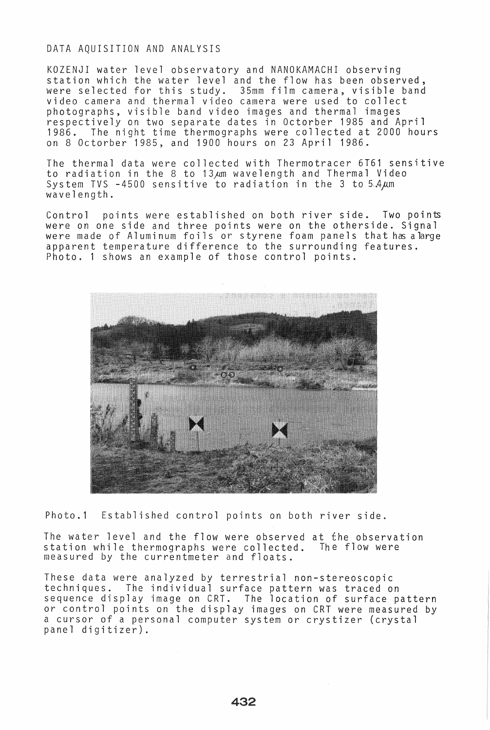## DATA AQUISITION AND ANALYSIS

KOZENJI water level observatory and NANOKAMACHI observing station which the water level and the flow has been observed, were selected for this study. 35mm film camera, visible band video camera and thermal video camera were used to collect photographs, visible band video images and thermal images respectively on two separate dates in Octorber 1985 and April 1986. The night time thermographs were collected at 2000 hours on 8 Octorber 1985, and 1900 hours on 23 April 1986.

The thermal data were collected with Thermotracer 6T61 sensitive to radiation in the 8 to 13<sub>km</sub> wavelength and Thermal Video System TVS  $-4500$  sensitive to radiation in the 3 to 5.4 $\mu$ m wavelength.

Control points were established on both river side. Two points were on one side and three points were on the otherside. Signal were made of Aluminum foils or styrene foam panels that has alarge apparent temperature difference to the surrounding features. Photo. 1 shows an example of those control points.



Photo.1 Established control points on both river side.

The water level and the flow were observed at the observation station while thermographs were collected. The flow were measured by the currentmeter and floats.

These data were analyzed by terrestrial non-stereoscopic techniques. The individual surface pattern was traced on sequence display image on CRT. The location of surface pattern or control points on the display images on CRT were measured by a cursor of a personal computer system or crystizer (crystal panel digitizer).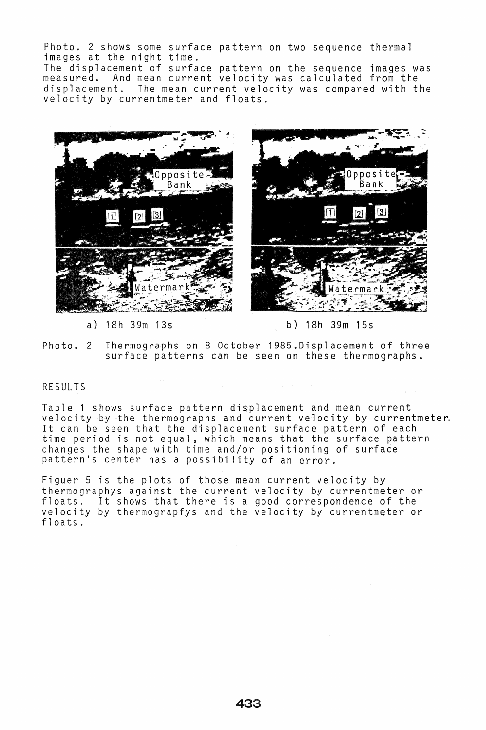Photo. 2 shows some surface pattern on two sequence thermal images at the night time. The displacement of surface pattern on the sequence images was measured. And mean current velocity was calculated from the displacement. The mean current velocity was compared with the velocity by currentmeter and floats.



a) 18h 39m 13s b) 18h 39m 15s

atermarl

Opposite Bank

Photo. 2 Thermographs on 8 October 1985.Displacement of three surface patterns can be seen on these thermographs.

# RESULTS

Table 1 shows surface pattern displacement and mean current velocity by the thermographs and current velocity by currentmeter. It can be seen that the displacement surface pattern of each time period is not equal, which means that the surface pattern changes the shape with time and/or positioning of surface pattern's center has a possibility of an error.

Figuer 5 is the plots of those mean current velocity by thermographys against the current velocity by currentmeter or floats. It shows that there is a good correspondence of the velocity by thermograpfys and the velocity by currentmeter or floats.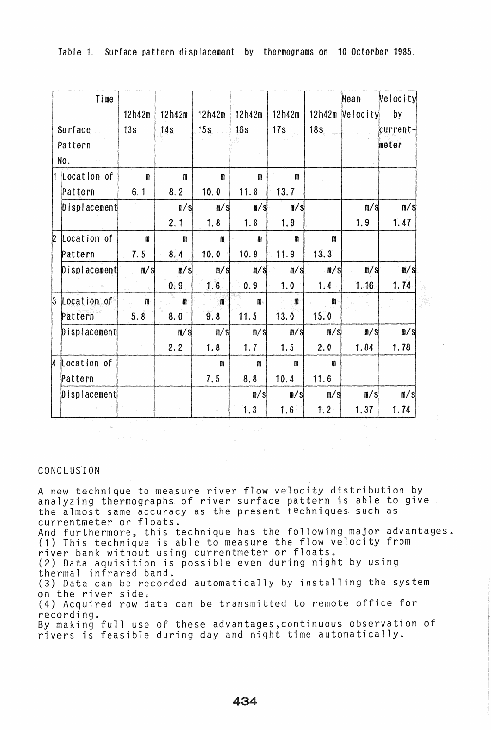|                           | Time                              |              |             |                         |                      |                |                | Mean                    | Velocity                |
|---------------------------|-----------------------------------|--------------|-------------|-------------------------|----------------------|----------------|----------------|-------------------------|-------------------------|
|                           |                                   | 12h42m       | 12h42m      | 12h42m                  | 12h42m               | 12h42m         |                | 12h42m Velocity         | by                      |
| Surface<br>Pattern<br>No. |                                   | 13s          | 14s         | 15s                     | 16s                  | 17s            | 18s            |                         | current-<br>meter       |
|                           | $\parallel$ $\lfloor$ Location of | $\mathbf n$  | $\mathbf n$ | m                       | $\pmb{\mathfrak{m}}$ | m              |                |                         |                         |
|                           | Pattern                           | 6.1          | 8.2         | 10.0                    | 11.8                 | 13.7           |                |                         |                         |
|                           | Displacement                      |              | m/s         | m/s                     | m/s                  | $\mathbf{m/s}$ |                | $\mathbf{n}/\mathbf{s}$ | m/s                     |
|                           |                                   |              | 2.1         | 1.8                     | 1.8                  | 1.9            |                | 1.9                     | 1.47                    |
| 2                         | Location of                       | m            | m           | m                       | m                    | m              | m              |                         |                         |
|                           | Pattern                           | 7.5          | 8.4         | 10.0                    | 10.9                 | 11.9           | 13.3           |                         |                         |
|                           | Displacement                      | m/s          | m/s         | $\sqrt{S}$              | n/s                  | m/s            | m/s            | m/s                     | $\mathbb{N}/\mathbb{S}$ |
|                           |                                   |              | 0.9         | 1.6                     | 0.9                  | 1.0            | 1, 4           | 1.16                    | 1.74                    |
| $\mathsf B$               | Location of                       | $\mathbf{n}$ | m           | $\mathbf{m}$            | $\mathbf{m}$         | n              | m              |                         |                         |
|                           | Pattern                           | 5.8          | 8.0         | 9.8                     | 11.5                 | 13.0           | 15.0           |                         |                         |
|                           | $\vert 0$ isplacement             |              | m/s         | $\mathbb{I}/\mathbb{S}$ | m/s                  | m/s            | $\mathbb{R}/S$ | $\mathbb{n}/\mathbb{s}$ | $\mathbb{N}/\mathbb{S}$ |
|                           |                                   |              | 2.2         | 1.8                     | 1.7                  | 1.5            | 2.0            | 1.84                    | 1.78                    |
| k                         | Location of                       |              |             | m                       | m                    | $\mathbf{m}$   | m              |                         |                         |
|                           | Pattern                           |              |             | 7.5                     | 8.8                  | 10.4           | 11.6           |                         |                         |
|                           | $\vert$ Displacement              |              |             |                         | m/s                  | m/s            | m/s            | m/s                     | $\mathsf{m/s}$          |
|                           |                                   |              |             |                         | 1.3                  | 1.6            | $1.2 -$        | 1.37                    | 1.74                    |

Table 1. Surface pattern displacement by thermograms on 10 Octorber 1985.

# CONCLUS'ION

A new technique to measure river flow velocity distribution by analyzing thermographs of river surface pattern is able to give the almost same accuracy as the present techniques. such as currentmeter or floats. And furthermore, this technique has the following major advantages. (1) This technique is able to measure the flow velocity from river bank without using currentmeter or floats. (2) Data aquisition is possible even during night by using thermal infrared band. (3) Data can be recorded automatically by installing the system on the river side. (4) Acquired row data can be transmitted to remote office for recording. By making full use of these advantages,continuous observation of rivers is feasible during day and night time automatically.